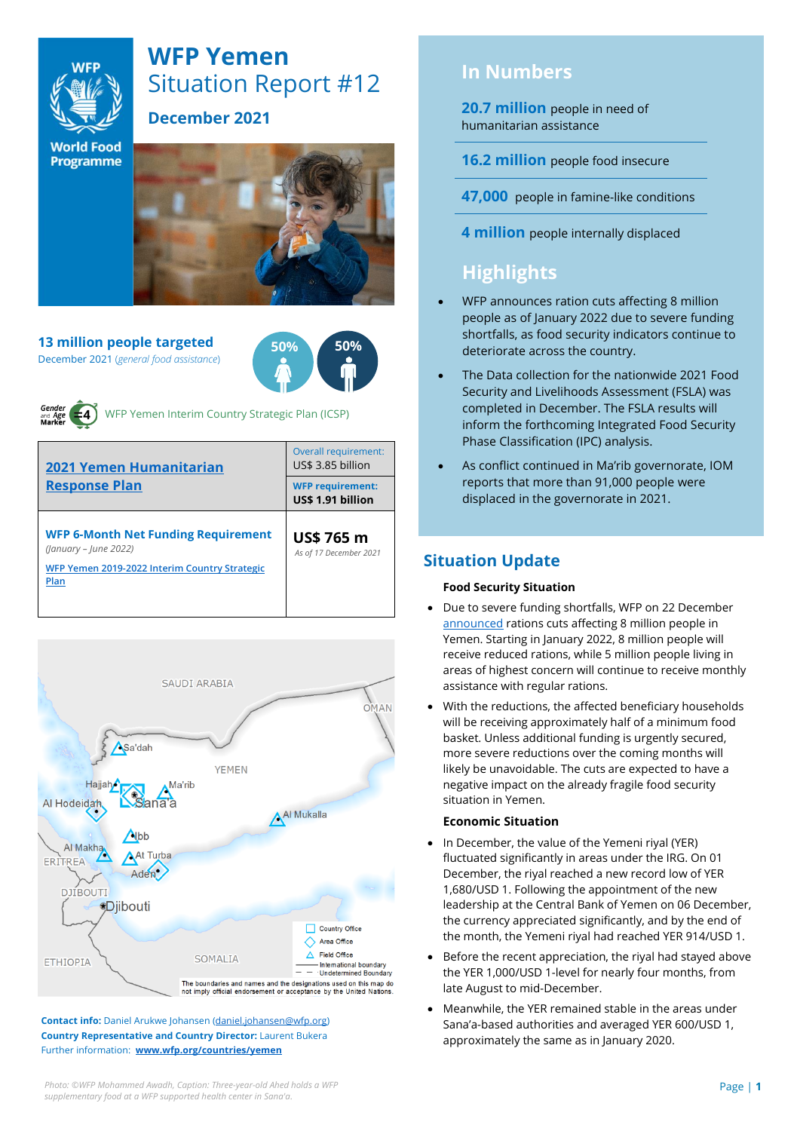

# **WFP Yemen** Situation Report #12

### **December 2021**

**World Food Programme** 

**13 million people targeted** December 2021 (*general food assistance*)





WFP Yemen Interim Country Strategic Plan (ICSP)

| <b>2021 Yemen Humanitarian</b><br><b>Response Plan</b>                                                                       | Overall requirement:<br>US\$ 3.85 billion    |  |  |
|------------------------------------------------------------------------------------------------------------------------------|----------------------------------------------|--|--|
|                                                                                                                              | <b>WFP requirement:</b><br>US\$ 1.91 billion |  |  |
| <b>WFP 6-Month Net Funding Requirement</b><br>(January - June 2022)<br>WFP Yemen 2019-2022 Interim Country Strategic<br>Plan | <b>US\$ 765 m</b><br>As of 17 December 2021  |  |  |



**Contact info:** Daniel Arukwe Johansen [\(daniel.johansen@wfp.org\)](mailto:daniel.johansen@wfp.org) **Country Representative and Country Director:** Laurent Bukera Further information: **[www.wfp.org/countries/yemen](http://www.wfp.org/countries/yemen)**

## **In Numbers**

**20.7 million** people in need of humanitarian assistance

**16.2 million** people food insecure

**47,000** people in famine-like conditions

**4 million** people internally displaced

## **Highlights**

- WFP announces ration cuts affecting 8 million people as of January 2022 due to severe funding shortfalls, as food security indicators continue to deteriorate across the country.
- The Data collection for the nationwide 2021 Food Security and Livelihoods Assessment (FSLA) was completed in December. The FSLA results will inform the forthcoming Integrated Food Security Phase Classification (IPC) analysis.
- As conflict continued in Ma'rib governorate, IOM reports that more than 91,000 people were displaced in the governorate in 2021.

### **Situation Update**

### **Food Security Situation**

- Due to severe funding shortfalls, WFP on 22 December [announced](https://www.wfp.org/news/wfp-forced-cut-food-assistance-yemen-warns-impact-hunger-rises#:~:text=22%20December%202021-,WFP%20forced%20to%20cut%20food%20assistance%20in%20Yemen,of%20impact%20as%20hunger%20rises&text=From%20January%2C%20eight%20million%20will,remain%20on%20a%20full%20ration.) rations cuts affecting 8 million people in Yemen. Starting in January 2022, 8 million people will receive reduced rations, while 5 million people living in areas of highest concern will continue to receive monthly assistance with regular rations.
- With the reductions, the affected beneficiary households will be receiving approximately half of a minimum food basket. Unless additional funding is urgently secured, more severe reductions over the coming months will likely be unavoidable. The cuts are expected to have a negative impact on the already fragile food security situation in Yemen.

### **Economic Situation**

- In December, the value of the Yemeni riyal (YER) fluctuated significantly in areas under the IRG. On 01 December, the riyal reached a new record low of YER 1,680/USD 1. Following the appointment of the new leadership at the Central Bank of Yemen on 06 December, the currency appreciated significantly, and by the end of the month, the Yemeni riyal had reached YER 914/USD 1.
- Before the recent appreciation, the riyal had stayed above the YER 1,000/USD 1-level for nearly four months, from late August to mid-December.
- Meanwhile, the YER remained stable in the areas under Sana'a-based authorities and averaged YER 600/USD 1, approximately the same as in January 2020.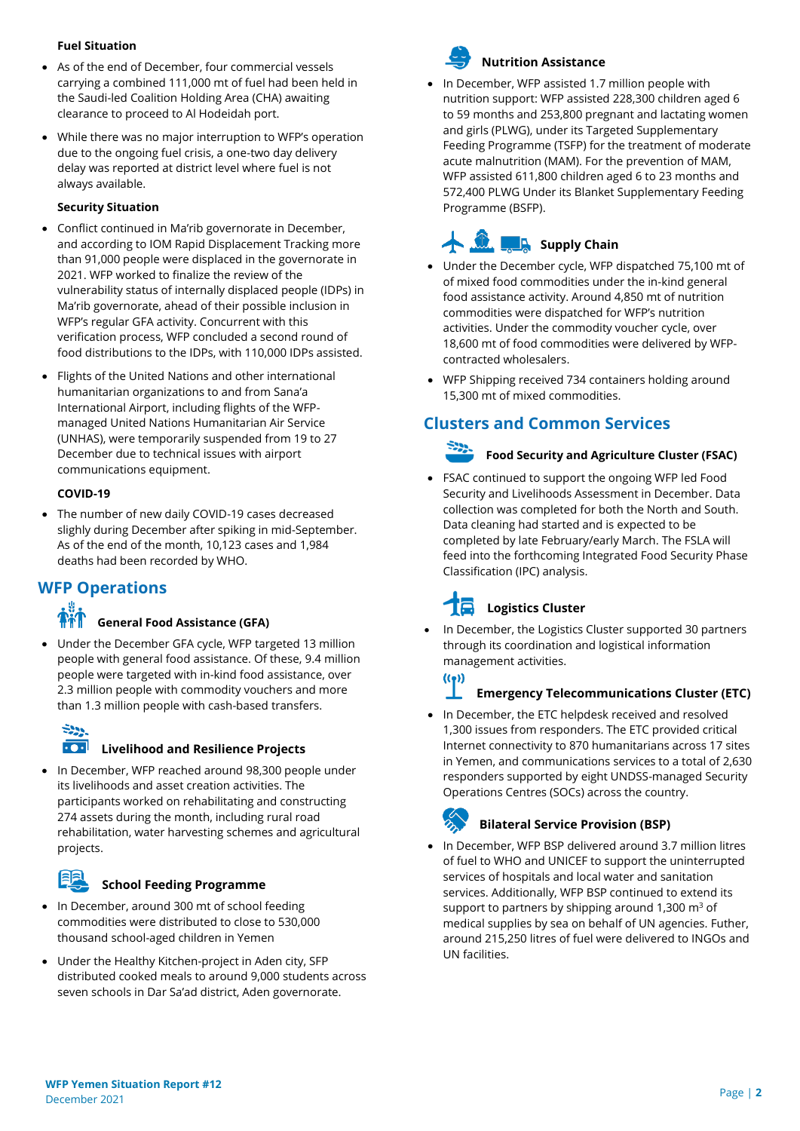### **Fuel Situation**

- As of the end of December, four commercial vessels carrying a combined 111,000 mt of fuel had been held in the Saudi-led Coalition Holding Area (CHA) awaiting clearance to proceed to Al Hodeidah port.
- While there was no major interruption to WFP's operation due to the ongoing fuel crisis, a one-two day delivery delay was reported at district level where fuel is not always available.

### **Security Situation**

- Conflict continued in Ma'rib governorate in December, and according to IOM Rapid Displacement Tracking more than 91,000 people were displaced in the governorate in 2021. WFP worked to finalize the review of the vulnerability status of internally displaced people (IDPs) in Ma'rib governorate, ahead of their possible inclusion in WFP's regular GFA activity. Concurrent with this verification process, WFP concluded a second round of food distributions to the IDPs, with 110,000 IDPs assisted.
- Flights of the United Nations and other international humanitarian organizations to and from Sana'a International Airport, including flights of the WFPmanaged United Nations Humanitarian Air Service (UNHAS), were temporarily suspended from 19 to 27 December due to technical issues with airport communications equipment.

### **COVID-19**

The number of new daily COVID-19 cases decreased slighly during December after spiking in mid-September. As of the end of the month, 10,123 cases and 1,984 deaths had been recorded by WHO.

### **WFP Operations**

### **General Food Assistance (GFA)**

• Under the December GFA cycle, WFP targeted 13 million people with general food assistance. Of these, 9.4 million people were targeted with in-kind food assistance, over 2.3 million people with commodity vouchers and more than 1.3 million people with cash-based transfers.

# $522$

### **Livelihood and Resilience Projects**

In December, WFP reached around 98,300 people under its livelihoods and asset creation activities. The participants worked on rehabilitating and constructing 274 assets during the month, including rural road rehabilitation, water harvesting schemes and agricultural projects.

### **School Feeding Programme**

- In December, around 300 mt of school feeding commodities were distributed to close to 530,000 thousand school-aged children in Yemen
- Under the Healthy Kitchen-project in Aden city, SFP distributed cooked meals to around 9,000 students across seven schools in Dar Sa'ad district, Aden governorate.



### **Nutrition Assistance**

• In December, WFP assisted 1.7 million people with nutrition support: WFP assisted 228,300 children aged 6 to 59 months and 253,800 pregnant and lactating women and girls (PLWG), under its Targeted Supplementary Feeding Programme (TSFP) for the treatment of moderate acute malnutrition (MAM). For the prevention of MAM, WFP assisted 611,800 children aged 6 to 23 months and 572,400 PLWG Under its Blanket Supplementary Feeding Programme (BSFP).

## **Supply Chain**

- Under the December cycle, WFP dispatched 75,100 mt of of mixed food commodities under the in-kind general food assistance activity. Around 4,850 mt of nutrition commodities were dispatched for WFP's nutrition activities. Under the commodity voucher cycle, over 18,600 mt of food commodities were delivered by WFPcontracted wholesalers.
- WFP Shipping received 734 containers holding around 15,300 mt of mixed commodities.

### **Clusters and Common Services**

• FSAC continued to support the ongoing WFP led Food Security and Livelihoods Assessment in December. Data collection was completed for both the North and South. Data cleaning had started and is expected to be completed by late February/early March. The FSLA will feed into the forthcoming Integrated Food Security Phase Classification (IPC) analysis.

**Food Security and Agriculture Cluster (FSAC)**

# **Logistics Cluster**

• In December, the Logistics Cluster supported 30 partners through its coordination and logistical information management activities.

### **Emergency Telecommunications Cluster (ETC)**

• In December, the ETC helpdesk received and resolved 1,300 issues from responders. The ETC provided critical Internet connectivity to 870 humanitarians across 17 sites in Yemen, and communications services to a total of 2,630 responders supported by eight UNDSS-managed Security Operations Centres (SOCs) across the country.

 $((\bullet))$ 

### **Bilateral Service Provision (BSP)**

• In December, WFP BSP delivered around 3.7 million litres of fuel to WHO and UNICEF to support the uninterrupted services of hospitals and local water and sanitation services. Additionally, WFP BSP continued to extend its support to partners by shipping around 1,300  $\text{m}^3$  of medical supplies by sea on behalf of UN agencies. Futher, around 215,250 litres of fuel were delivered to INGOs and UN facilities.